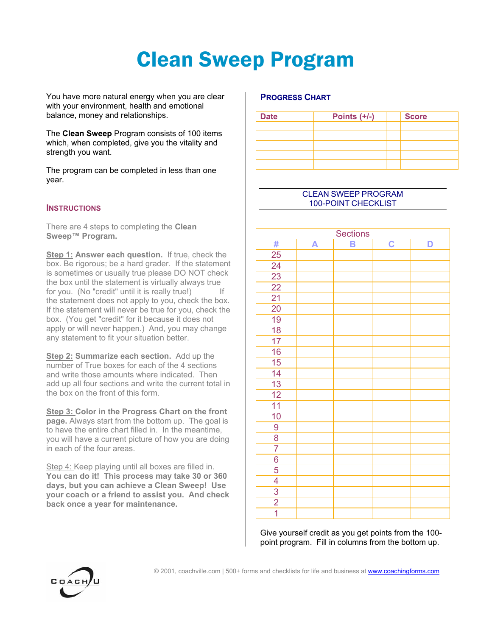# Clean Sweep Program

You have more natural energy when you are clear with your environment, health and emotional balance, money and relationships.

The **Clean Sweep** Program consists of 100 items which, when completed, give you the vitality and strength you want.

The program can be completed in less than one year.

#### **INSTRUCTIONS**

There are 4 steps to completing the **Clean Sweep™ Program.**

**Step 1: Answer each question.** If true, check the box. Be rigorous; be a hard grader. If the statement is sometimes or usually true please DO NOT check the box until the statement is virtually always true for you. (No "credit" until it is really true!) If the statement does not apply to you, check the box. If the statement will never be true for you, check the box. (You get "credit" for it because it does not apply or will never happen.) And, you may change any statement to fit your situation better.

**Step 2: Summarize each section.** Add up the number of True boxes for each of the 4 sections and write those amounts where indicated. Then add up all four sections and write the current total in the box on the front of this form.

**Step 3: Color in the Progress Chart on the front page.** Always start from the bottom up. The goal is to have the entire chart filled in. In the meantime, you will have a current picture of how you are doing in each of the four areas.

Step 4: Keep playing until all boxes are filled in. **You can do it! This process may take 30 or 360 days, but you can achieve a Clean Sweep! Use your coach or a friend to assist you. And check back once a year for maintenance.**

### **PROGRESS CHART**

| <b>Date</b> | Points $(+/-)$ | <b>Score</b> |  |
|-------------|----------------|--------------|--|
|             |                |              |  |
|             |                |              |  |
|             |                |              |  |
|             |                |              |  |
|             |                |              |  |

#### CLEAN SWEEP PROGRAM 100-POINT CHECKLIST

| <b>Sections</b> |   |   |             |   |  |  |
|-----------------|---|---|-------------|---|--|--|
| #               | A | B | $\mathbf C$ | D |  |  |
| $\overline{25}$ |   |   |             |   |  |  |
| 24              |   |   |             |   |  |  |
| $\overline{23}$ |   |   |             |   |  |  |
| $\overline{22}$ |   |   |             |   |  |  |
| $\overline{21}$ |   |   |             |   |  |  |
| 20              |   |   |             |   |  |  |
| 19              |   |   |             |   |  |  |
| 18              |   |   |             |   |  |  |
| 17              |   |   |             |   |  |  |
| 16              |   |   |             |   |  |  |
| 15              |   |   |             |   |  |  |
| 14              |   |   |             |   |  |  |
| 13              |   |   |             |   |  |  |
| $\overline{12}$ |   |   |             |   |  |  |
| $\overline{11}$ |   |   |             |   |  |  |
| 10              |   |   |             |   |  |  |
| 9               |   |   |             |   |  |  |
| $\overline{8}$  |   |   |             |   |  |  |
| $\overline{7}$  |   |   |             |   |  |  |
| $\overline{6}$  |   |   |             |   |  |  |
| $\overline{5}$  |   |   |             |   |  |  |
| $\overline{4}$  |   |   |             |   |  |  |
| $\frac{3}{2}$   |   |   |             |   |  |  |
|                 |   |   |             |   |  |  |
| $\overline{1}$  |   |   |             |   |  |  |

Give yourself credit as you get points from the 100 point program. Fill in columns from the bottom up.

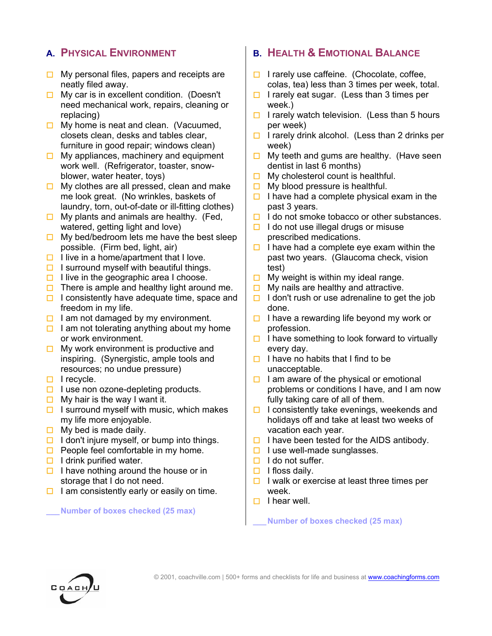## **A. PHYSICAL ENVIRONMENT**

- $\Box$  My personal files, papers and receipts are neatly filed away.
- $\Box$  My car is in excellent condition. (Doesn't need mechanical work, repairs, cleaning or replacing)
- $\Box$  My home is neat and clean. (Vacuumed, closets clean, desks and tables clear, furniture in good repair; windows clean)
- $\Box$  My appliances, machinery and equipment work well. (Refrigerator, toaster, snowblower, water heater, toys)
- $\Box$  My clothes are all pressed, clean and make me look great. (No wrinkles, baskets of laundry, torn, out-of-date or ill-fitting clothes)
- $\Box$  My plants and animals are healthy. (Fed, watered, getting light and love)
- $\Box$  My bed/bedroom lets me have the best sleep possible. (Firm bed, light, air)
- $\Box$  I live in a home/apartment that I love.
- $\Box$  I surround myself with beautiful things.
- $\Box$  I live in the geographic area I choose.
- $\Box$  There is ample and healthy light around me.
- $\Box$  I consistently have adequate time, space and freedom in my life.
- $\Box$  I am not damaged by my environment.
- $\Box$  I am not tolerating anything about my home or work environment.
- $\Box$  My work environment is productive and inspiring. (Synergistic, ample tools and resources; no undue pressure)
- $\Box$  I recycle.
- $\Box$  I use non ozone-depleting products.
- $\Box$  My hair is the way I want it.
- $\Box$  I surround myself with music, which makes my life more enjoyable.
- $\Box$  My bed is made daily.
- $\Box$  I don't injure myself, or bump into things.
- $\Box$  People feel comfortable in my home.
- $\Box$  I drink purified water.
- $\Box$  I have nothing around the house or in storage that I do not need.
- $\Box$  I am consistently early or easily on time.

#### **\_\_\_ Number of boxes checked (25 max)**

## **B. HEALTH & EMOTIONAL BALANCE**

- $\Box$  I rarely use caffeine. (Chocolate, coffee, colas, tea) less than 3 times per week, total.
- $\Box$  I rarely eat sugar. (Less than 3 times per week.)
- $\Box$  I rarely watch television. (Less than 5 hours per week)
- $\Box$  I rarely drink alcohol. (Less than 2 drinks per week)
- $\Box$  My teeth and gums are healthy. (Have seen dentist in last 6 months)
- $\Box$  My cholesterol count is healthful.
- $\Box$  My blood pressure is healthful.
- $\Box$  I have had a complete physical exam in the past 3 years.
- $\Box$  I do not smoke tobacco or other substances.
- $\Box$  I do not use illegal drugs or misuse prescribed medications.
- $\Box$  I have had a complete eye exam within the past two years. (Glaucoma check, vision test)
- $\Box$  My weight is within my ideal range.
- $\Box$  My nails are healthy and attractive.
- $\Box$  I don't rush or use adrenaline to get the job done.
- $\Box$  I have a rewarding life beyond my work or profession.
- $\Box$  I have something to look forward to virtually every day.
- $\Box$  I have no habits that I find to be unacceptable.
- $\Box$  I am aware of the physical or emotional problems or conditions I have, and I am now fully taking care of all of them.
- $\Box$  I consistently take evenings, weekends and holidays off and take at least two weeks of vacation each year.
- $\Box$  I have been tested for the AIDS antibody.
- $\Box$  I use well-made sunglasses.
- $\Box$  I do not suffer.
- $\Box$  I floss daily.
- $\Box$  I walk or exercise at least three times per week.
- $\Box$  I hear well.

**\_\_\_ Number of boxes checked (25 max)**

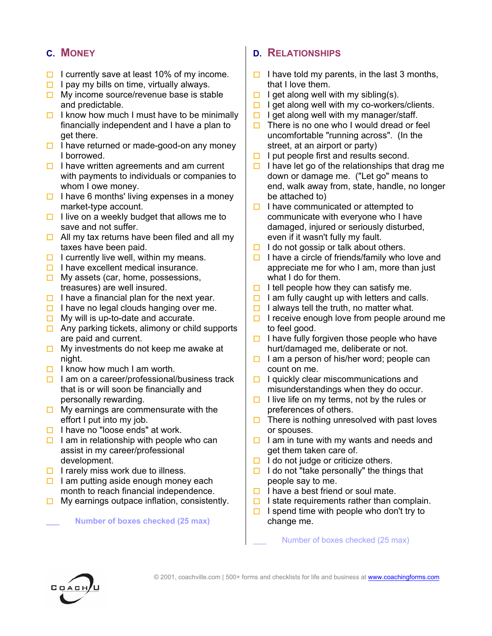# **C. MONEY**

- I currently save at least 10% of my income.
- $\Box$  I pay my bills on time, virtually always.
- $\Box$  My income source/revenue base is stable and predictable.
- $\Box$  I know how much I must have to be minimally financially independent and I have a plan to get there.
- $\Box$  I have returned or made-good-on any money I borrowed.
- $\Box$  I have written agreements and am current with payments to individuals or companies to whom I owe money.
- $\Box$  I have 6 months' living expenses in a money market-type account.
- $\Box$  I live on a weekly budget that allows me to save and not suffer.
- $\Box$  All my tax returns have been filed and all my taxes have been paid.
- $\Box$  I currently live well, within my means.
- $\Box$  I have excellent medical insurance.
- $\Box$  My assets (car, home, possessions, treasures) are well insured.
- $\Box$  I have a financial plan for the next year.
- $\Box$  I have no legal clouds hanging over me.
- $\Box$  My will is up-to-date and accurate.
- $\Box$  Any parking tickets, alimony or child supports are paid and current.
- $\Box$  My investments do not keep me awake at night.
- $\Box$  I know how much I am worth.
- $\Box$  I am on a career/professional/business track that is or will soon be financially and personally rewarding.
- $\Box$  My earnings are commensurate with the effort I put into my job.
- $\Box$  I have no "loose ends" at work.
- $\Box$  I am in relationship with people who can assist in my career/professional development.
- $\Box$  I rarely miss work due to illness.
- $\Box$  I am putting aside enough money each month to reach financial independence.
- $\Box$  My earnings outpace inflation, consistently.

**\_\_\_ Number of boxes checked (25 max)**

## **D. RELATIONSHIPS**

- I have told my parents, in the last 3 months, that I love them.
- $\Box$  I get along well with my sibling(s).
- $\Box$  I get along well with my co-workers/clients.
- $\Box$  I get along well with my manager/staff.
- $\Box$  There is no one who I would dread or feel uncomfortable "running across". (In the street, at an airport or party)
- $\Box$  I put people first and results second.
- $\Box$  I have let go of the relationships that drag me down or damage me. ("Let go" means to end, walk away from, state, handle, no longer be attached to)
- $\Box$  I have communicated or attempted to communicate with everyone who I have damaged, injured or seriously disturbed, even if it wasn't fully my fault.
- $\Box$  I do not gossip or talk about others.
- $\Box$  I have a circle of friends/family who love and appreciate me for who I am, more than just what I do for them.
- $\Box$  I tell people how they can satisfy me.
- $\Box$  I am fully caught up with letters and calls.
- $\Box$  I always tell the truth, no matter what.
- $\Box$  I receive enough love from people around me to feel good.
- $\Box$  I have fully forgiven those people who have hurt/damaged me, deliberate or not.
- $\Box$  I am a person of his/her word; people can count on me.
- $\Box$  I quickly clear miscommunications and misunderstandings when they do occur.
- $\Box$  I live life on my terms, not by the rules or preferences of others.
- $\Box$  There is nothing unresolved with past loves or spouses.
- $\Box$  I am in tune with my wants and needs and get them taken care of.
- $\Box$  I do not judge or criticize others.
- $\Box$  I do not "take personally" the things that people say to me.
- $\Box$  I have a best friend or soul mate.
- $\Box$  I state requirements rather than complain.
- $\Box$  I spend time with people who don't try to change me.

Number of boxes checked (25 max)